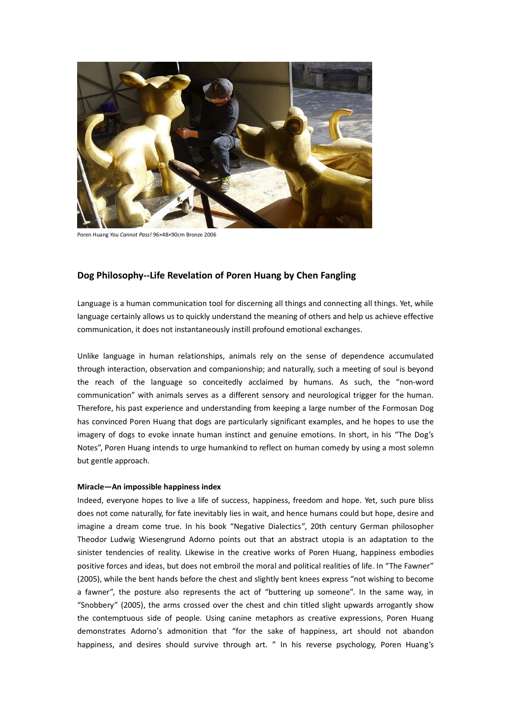

Poren Huang *You Cannot Pass!* 96×48×90cm Bronze 2006

## **Dog Philosophy--Life Revelation of Poren Huang by Chen Fangling**

Language is a human communication tool for discerning all things and connecting all things. Yet, while language certainly allows us to quickly understand the meaning of others and help us achieve effective communication, it does not instantaneously instill profound emotional exchanges.

Unlike language in human relationships, animals rely on the sense of dependence accumulated through interaction, observation and companionship; and naturally, such a meeting of soul is beyond the reach of the language so conceitedly acclaimed by humans. As such, the "non-word communication" with animals serves as a different sensory and neurological trigger for the human. Therefore, his past experience and understanding from keeping a large number of the Formosan Dog has convinced Poren Huang that dogs are particularly significant examples, and he hopes to use the imagery of dogs to evoke innate human instinct and genuine emotions. In short, in his "The Dog's Notes", Poren Huang intends to urge humankind to reflect on human comedy by using a most solemn but gentle approach.

## **Miracle—An impossible happiness index**

Indeed, everyone hopes to live a life of success, happiness, freedom and hope. Yet, such pure bliss does not come naturally, for fate inevitably lies in wait, and hence humans could but hope, desire and imagine a dream come true. In his book "Negative Dialectics*"*, 20th century German philosopher Theodor Ludwig Wiesengrund Adorno points out that an abstract utopia is an adaptation to the sinister tendencies of reality. Likewise in the creative works of Poren Huang, happiness embodies positive forces and ideas, but does not embroil the moral and political realities of life. In "The Fawner" (2005), while the bent hands before the chest and slightly bent knees express "not wishing to become a fawner", the posture also represents the act of "buttering up someone". In the same way, in "Snobbery" (2005), the arms crossed over the chest and chin titled slight upwards arrogantly show the contemptuous side of people. Using canine metaphors as creative expressions, Poren Huang demonstrates Adorno's admonition that "for the sake of happiness, art should not abandon happiness, and desires should survive through art. " In his reverse psychology, Poren Huang's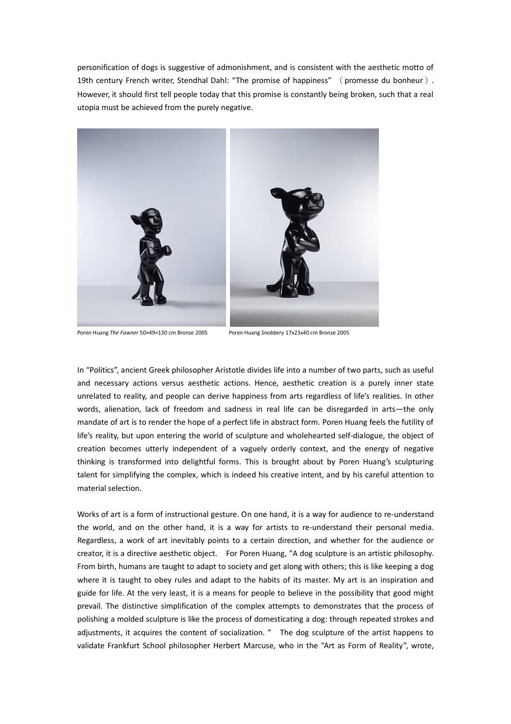personification of dogs is suggestive of admonishment, and is consistent with the aesthetic motto of 19th century French writer, Stendhal Dahl: "The promise of happiness" (promesse du bonheur). However, it should first tell people today that this promise is constantly being broken, such that a real utopia must be achieved from the purely negative.



Poren Huang *The Fawner* 50×49×130 cm Bronze 2005 Poren Huang *Snobbery* 17x23x40 cm Bronze 2005

In "Politics", ancient Greek philosopher Aristotle divides life into a number of two parts, such as useful and necessary actions versus aesthetic actions. Hence, aesthetic creation is a purely inner state unrelated to reality, and people can derive happiness from arts regardless of life's realities. In other words, alienation, lack of freedom and sadness in real life can be disregarded in arts—the only mandate of art is to render the hope of a perfect life in abstract form. Poren Huang feels the futility of life's reality, but upon entering the world of sculpture and wholehearted self-dialogue, the object of creation becomes utterly independent of a vaguely orderly context, and the energy of negative thinking is transformed into delightful forms. This is brought about by Poren Huang's sculpturing talent for simplifying the complex, which is indeed his creative intent, and by his careful attention to material selection.

Works of art is a form of instructional gesture. On one hand, it is a way for audience to re-understand the world, and on the other hand, it is a way for artists to re-understand their personal media. Regardless, a work of art inevitably points to a certain direction, and whether for the audience or creator, it is a directive aesthetic object. For Poren Huang, "A dog sculpture is an artistic philosophy. From birth, humans are taught to adapt to society and get along with others; this is like keeping a dog where it is taught to obey rules and adapt to the habits of its master. My art is an inspiration and guide for life. At the very least, it is a means for people to believe in the possibility that good might prevail. The distinctive simplification of the complex attempts to demonstrates that the process of polishing a molded sculpture is like the process of domesticating a dog: through repeated strokes and adjustments, it acquires the content of socialization. " The dog sculpture of the artist happens to validate Frankfurt School philosopher Herbert Marcuse, who in the "Art as Form of Reality", wrote,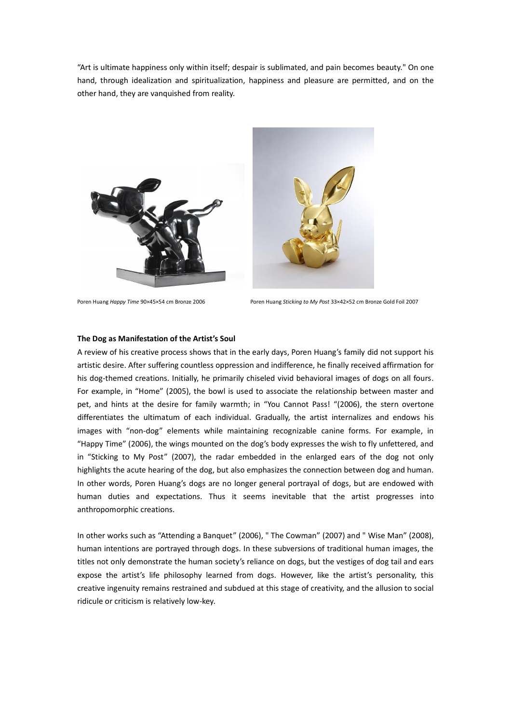"Art is ultimate happiness only within itself; despair is sublimated, and pain becomes beauty." On one hand, through idealization and spiritualization, happiness and pleasure are permitted, and on the other hand, they are vanquished from reality.





Poren Huang *Happy Time* 90×45×54 cm Bronze 2006 Poren Huang *Sticking to My Post* 33×42×52 cm Bronze Gold Foil 2007

## **The Dog as Manifestation of the Artist's Soul**

A review of his creative process shows that in the early days, Poren Huang's family did not support his artistic desire. After suffering countless oppression and indifference, he finally received affirmation for his dog-themed creations. Initially, he primarily chiseled vivid behavioral images of dogs on all fours. For example, in "Home" (2005), the bowl is used to associate the relationship between master and pet, and hints at the desire for family warmth; in "You Cannot Pass! "(2006), the stern overtone differentiates the ultimatum of each individual. Gradually, the artist internalizes and endows his images with "non-dog" elements while maintaining recognizable canine forms. For example, in "Happy Time" (2006), the wings mounted on the dog's body expresses the wish to fly unfettered, and in "Sticking to My Post" (2007), the radar embedded in the enlarged ears of the dog not only highlights the acute hearing of the dog, but also emphasizes the connection between dog and human. In other words, Poren Huang's dogs are no longer general portrayal of dogs, but are endowed with human duties and expectations. Thus it seems inevitable that the artist progresses into anthropomorphic creations.

In other works such as "Attending a Banquet" (2006), " The Cowman" (2007) and " Wise Man" (2008), human intentions are portrayed through dogs. In these subversions of traditional human images, the titles not only demonstrate the human society's reliance on dogs, but the vestiges of dog tail and ears expose the artist's life philosophy learned from dogs. However, like the artist's personality, this creative ingenuity remains restrained and subdued at this stage of creativity, and the allusion to social ridicule or criticism is relatively low-key.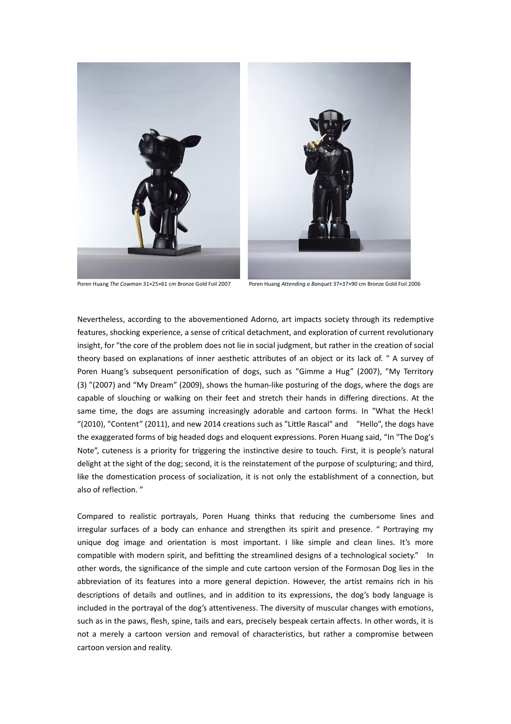

Poren Huang *The Cowman* 31×25×61 cm Bronze Gold Foil 2007 Poren Huang *Attending a Banquet* 37×37×90 cm Bronze Gold Foil 2006

Nevertheless, according to the abovementioned Adorno, art impacts society through its redemptive features, shocking experience, a sense of critical detachment, and exploration of current revolutionary insight, for "the core of the problem does not lie in social judgment, but rather in the creation of social theory based on explanations of inner aesthetic attributes of an object or its lack of. " A survey of Poren Huang's subsequent personification of dogs, such as "Gimme a Hug" (2007), "My Territory (3) "(2007) and "My Dream" (2009), shows the human-like posturing of the dogs, where the dogs are capable of slouching or walking on their feet and stretch their hands in differing directions. At the same time, the dogs are assuming increasingly adorable and cartoon forms. In "What the Heck! "(2010), "Content" (2011), and new 2014 creations such as "Little Rascal" and "Hello", the dogs have the exaggerated forms of big headed dogs and eloquent expressions. Poren Huang said, "In "The Dog's Note", cuteness is a priority for triggering the instinctive desire to touch. First, it is people's natural delight at the sight of the dog; second, it is the reinstatement of the purpose of sculpturing; and third, like the domestication process of socialization, it is not only the establishment of a connection, but also of reflection. "

Compared to realistic portrayals, Poren Huang thinks that reducing the cumbersome lines and irregular surfaces of a body can enhance and strengthen its spirit and presence. " Portraying my unique dog image and orientation is most important. I like simple and clean lines. It's more compatible with modern spirit, and befitting the streamlined designs of a technological society." In other words, the significance of the simple and cute cartoon version of the Formosan Dog lies in the abbreviation of its features into a more general depiction. However, the artist remains rich in his descriptions of details and outlines, and in addition to its expressions, the dog's body language is included in the portrayal of the dog's attentiveness. The diversity of muscular changes with emotions, such as in the paws, flesh, spine, tails and ears, precisely bespeak certain affects. In other words, it is not a merely a cartoon version and removal of characteristics, but rather a compromise between cartoon version and reality.